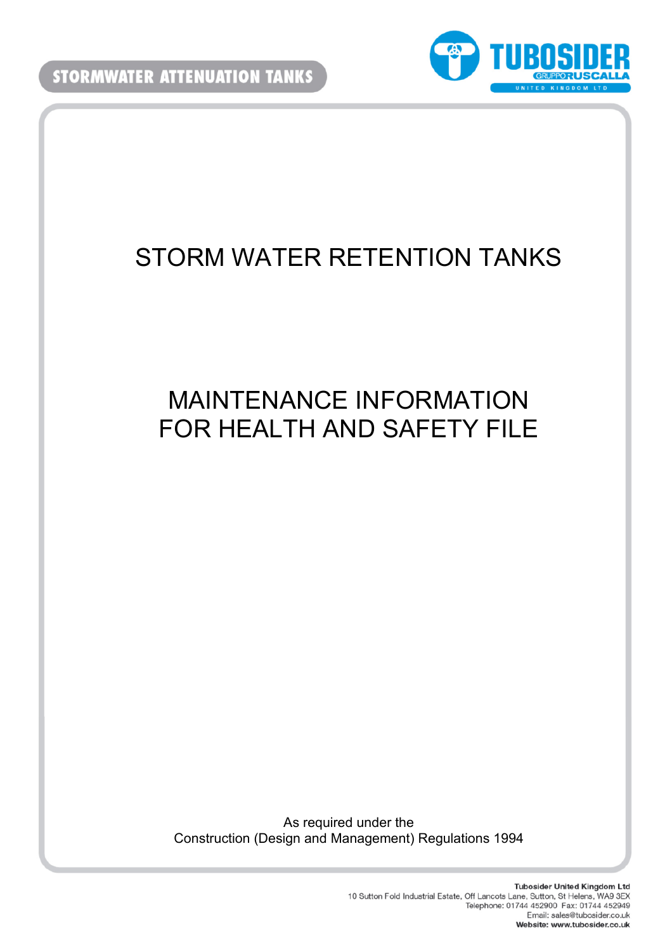

# STORM WATER RETENTION TANKS

# MAINTENANCE INFORMATION FOR HEALTH AND SAFETY FILE

As required under the Construction (Design and Management) Regulations 1994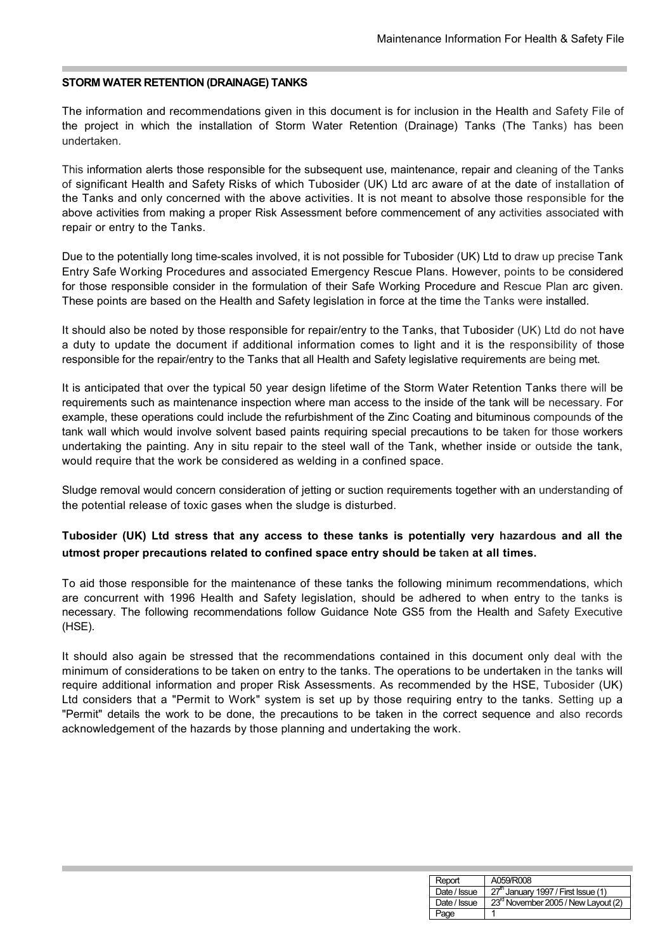#### **STORM WATER RETENTION (DRAINAGE) TANKS**

The information and recommendations given in this document is for inclusion in the Health and Safety File of the project in which the installation of Storm Water Retention (Drainage) Tanks (The Tanks) has been undertaken.

This information alerts those responsible for the subsequent use, maintenance, repair and cleaning of the Tanks of significant Health and Safety Risks of which Tubosider (UK) Ltd arc aware of at the date of installation of the Tanks and only concerned with the above activities. It is not meant to absolve those responsible for the above activities from making a proper Risk Assessment before commencement of any activities associated with repair or entry to the Tanks.

Due to the potentially long time-scales involved, it is not possible for Tubosider (UK) Ltd to draw up precise Tank Entry Safe Working Procedures and associated Emergency Rescue Plans. However, points to be considered for those responsible consider in the formulation of their Safe Working Procedure and Rescue Plan arc given. These points are based on the Health and Safety legislation in force at the time the Tanks were installed.

It should also be noted by those responsible for repair/entry to the Tanks, that Tubosider (UK) Ltd do not have a duty to update the document if additional information comes to light and it is the responsibility of those responsible for the repair/entry to the Tanks that all Health and Safety legislative requirements are being met.

It is anticipated that over the typical 50 year design lifetime of the Storm Water Retention Tanks there will be requirements such as maintenance inspection where man access to the inside of the tank will be necessary. For example, these operations could include the refurbishment of the Zinc Coating and bituminous compounds of the tank wall which would involve solvent based paints requiring special precautions to be taken for those workers undertaking the painting. Any in situ repair to the steel wall of the Tank, whether inside or outside the tank, would require that the work be considered as welding in a confined space.

Sludge removal would concern consideration of jetting or suction requirements together with an understanding of the potential release of toxic gases when the sludge is disturbed.

## **Tubosider (UK) Ltd stress that any access to these tanks is potentially very hazardous and all the utmost proper precautions related to confined space entry should be taken at all times.**

To aid those responsible for the maintenance of these tanks the following minimum recommendations, which are concurrent with 1996 Health and Safety legislation, should be adhered to when entry to the tanks is necessary. The following recommendations follow Guidance Note GS5 from the Health and Safety Executive (HSE).

It should also again be stressed that the recommendations contained in this document only deal with the minimum of considerations to be taken on entry to the tanks. The operations to be undertaken in the tanks will require additional information and proper Risk Assessments. As recommended by the HSE, Tubosider (UK) Ltd considers that a "Permit to Work" system is set up by those requiring entry to the tanks. Setting up a "Permit" details the work to be done, the precautions to be taken in the correct sequence and also records acknowledgement of the hazards by those planning and undertaking the work.

| Report       | A059/R008                                       |
|--------------|-------------------------------------------------|
| Date / Issue | $\frac{1}{27}$ January 1997 / First Issue (1)   |
| Date / Issue | 23 <sup>rd</sup> November 2005 / New Layout (2) |
| Page         |                                                 |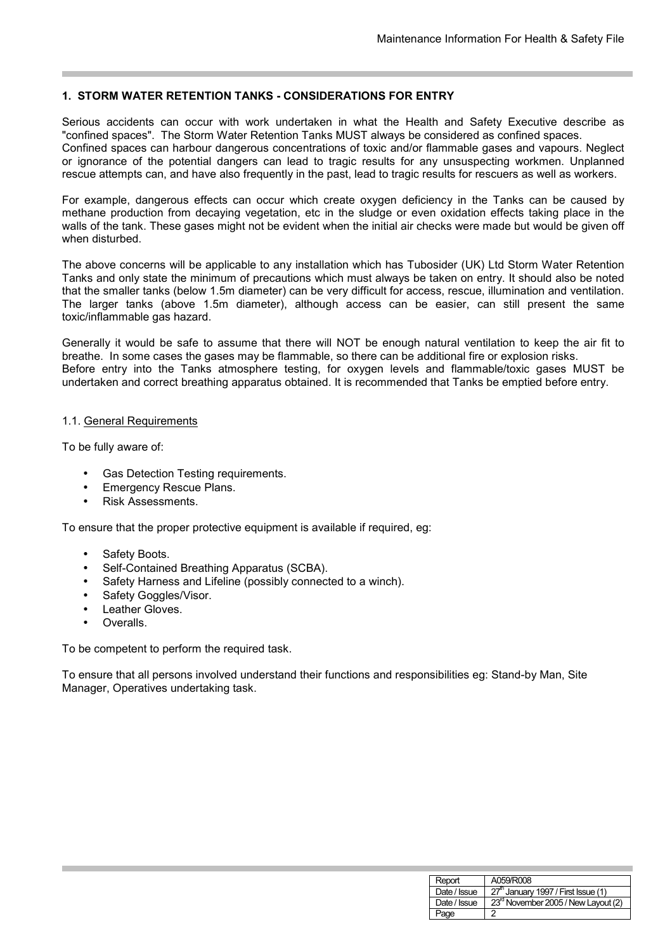### **1. STORM WATER RETENTION TANKS - CONSIDERATIONS FOR ENTRY**

Serious accidents can occur with work undertaken in what the Health and Safety Executive describe as "confined spaces". The Storm Water Retention Tanks MUST always be considered as confined spaces. Confined spaces can harbour dangerous concentrations of toxic and/or flammable gases and vapours. Neglect or ignorance of the potential dangers can lead to tragic results for any unsuspecting workmen. Unplanned rescue attempts can, and have also frequently in the past, lead to tragic results for rescuers as well as workers.

For example, dangerous effects can occur which create oxygen deficiency in the Tanks can be caused by methane production from decaying vegetation, etc in the sludge or even oxidation effects taking place in the walls of the tank. These gases might not be evident when the initial air checks were made but would be given off when disturbed.

The above concerns will be applicable to any installation which has Tubosider (UK) Ltd Storm Water Retention Tanks and only state the minimum of precautions which must always be taken on entry. It should also be noted that the smaller tanks (below 1.5m diameter) can be very difficult for access, rescue, illumination and ventilation. The larger tanks (above 1.5m diameter), although access can be easier, can still present the same toxic/inflammable gas hazard.

Generally it would be safe to assume that there will NOT be enough natural ventilation to keep the air fit to breathe. In some cases the gases may be flammable, so there can be additional fire or explosion risks. Before entry into the Tanks atmosphere testing, for oxygen levels and flammable/toxic gases MUST be undertaken and correct breathing apparatus obtained. It is recommended that Tanks be emptied before entry.

### 1.1. General Requirements

To be fully aware of:

- Gas Detection Testing requirements.
- **Emergency Rescue Plans.**
- Risk Assessments.

To ensure that the proper protective equipment is available if required, eg:

- Safety Boots.
- Self-Contained Breathing Apparatus (SCBA).
- Safety Harness and Lifeline (possibly connected to a winch).
- Safety Goggles/Visor.
- Leather Gloves.
- Overalls.

To be competent to perform the required task.

To ensure that all persons involved understand their functions and responsibilities eg: Stand-by Man, Site Manager, Operatives undertaking task.

| Report       | A059/R008                                       |
|--------------|-------------------------------------------------|
| Date / Issue | 27 <sup>th</sup> January 1997 / First Issue (1) |
| Date / Issue | 23rd November 2005 / New Layout (2)             |
| Page         | 2                                               |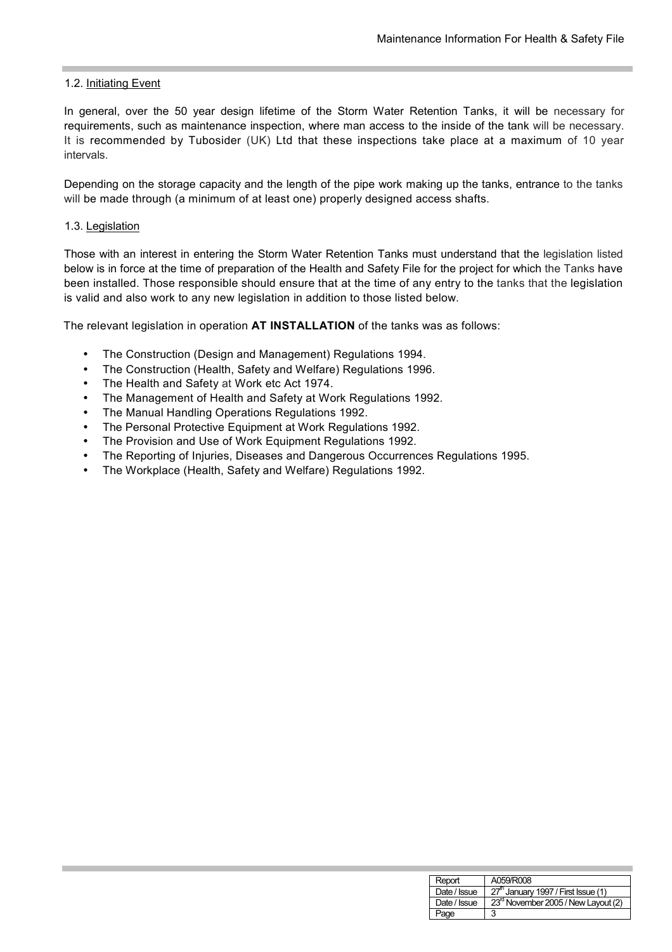#### 1.2. Initiating Event

In general, over the 50 year design lifetime of the Storm Water Retention Tanks, it will be necessary for requirements, such as maintenance inspection, where man access to the inside of the tank will be necessary. It is recommended by Tubosider (UK) Ltd that these inspections take place at a maximum of 10 year intervals.

Depending on the storage capacity and the length of the pipe work making up the tanks, entrance to the tanks will be made through (a minimum of at least one) properly designed access shafts.

#### 1.3. Legislation

Those with an interest in entering the Storm Water Retention Tanks must understand that the legislation listed below is in force at the time of preparation of the Health and Safety File for the project for which the Tanks have been installed. Those responsible should ensure that at the time of any entry to the tanks that the legislation is valid and also work to any new legislation in addition to those listed below.

The relevant legislation in operation **AT INSTALLATION** of the tanks was as follows:

- The Construction (Design and Management) Regulations 1994.
- The Construction (Health, Safety and Welfare) Regulations 1996.
- The Health and Safety at Work etc Act 1974.
- The Management of Health and Safety at Work Regulations 1992.
- The Manual Handling Operations Regulations 1992.
- The Personal Protective Equipment at Work Regulations 1992.
- The Provision and Use of Work Equipment Regulations 1992.
- The Reporting of Injuries, Diseases and Dangerous Occurrences Regulations 1995.
- The Workplace (Health, Safety and Welfare) Regulations 1992.

| Report       | A059/R008                                       |
|--------------|-------------------------------------------------|
| Date / Issue | 27 <sup>th</sup> January 1997 / First Issue (1) |
| Date / Issue | 23 <sup>rd</sup> November 2005 / New Layout (2) |
| Page         |                                                 |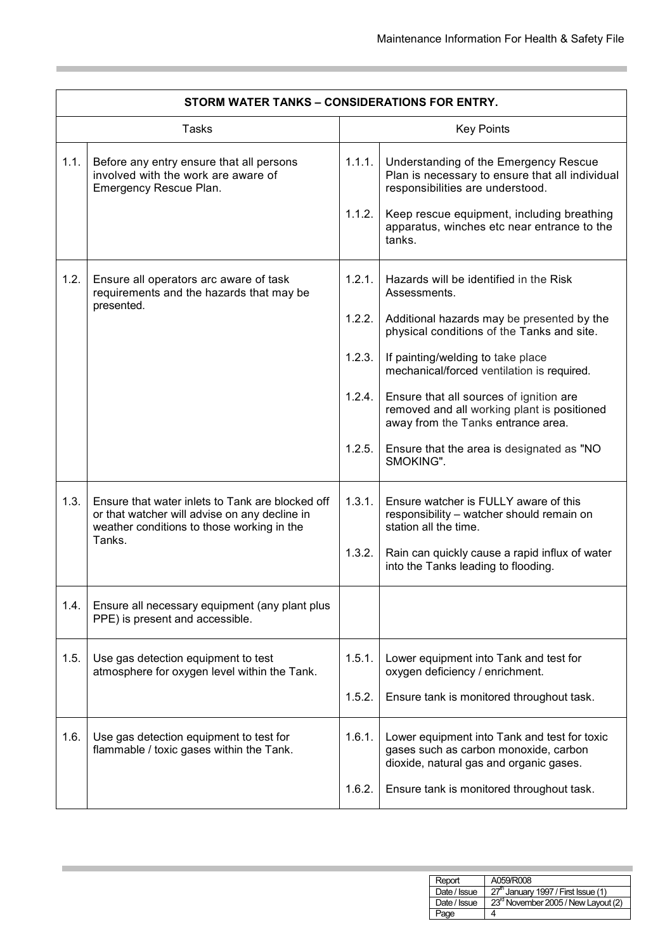۰

| STORM WATER TANKS - CONSIDERATIONS FOR ENTRY. |                                                                                                                                                           |                                                |                                                                                                                                                                                                                                                                                                                                                                                                                                 |  |
|-----------------------------------------------|-----------------------------------------------------------------------------------------------------------------------------------------------------------|------------------------------------------------|---------------------------------------------------------------------------------------------------------------------------------------------------------------------------------------------------------------------------------------------------------------------------------------------------------------------------------------------------------------------------------------------------------------------------------|--|
| Tasks                                         |                                                                                                                                                           |                                                | <b>Key Points</b>                                                                                                                                                                                                                                                                                                                                                                                                               |  |
| 1.1.                                          | Before any entry ensure that all persons<br>involved with the work are aware of<br>Emergency Rescue Plan.                                                 | 1.1.1.<br>1.1.2.                               | Understanding of the Emergency Rescue<br>Plan is necessary to ensure that all individual<br>responsibilities are understood.<br>Keep rescue equipment, including breathing<br>apparatus, winches etc near entrance to the<br>tanks.                                                                                                                                                                                             |  |
| 1.2.                                          | Ensure all operators arc aware of task<br>requirements and the hazards that may be<br>presented.                                                          | 1.2.1.<br>1.2.2.<br>1.2.3.<br>1.2.4.<br>1.2.5. | Hazards will be identified in the Risk<br>Assessments.<br>Additional hazards may be presented by the<br>physical conditions of the Tanks and site.<br>If painting/welding to take place<br>mechanical/forced ventilation is required.<br>Ensure that all sources of ignition are<br>removed and all working plant is positioned<br>away from the Tanks entrance area.<br>Ensure that the area is designated as "NO<br>SMOKING". |  |
| 1.3.                                          | Ensure that water inlets to Tank are blocked off<br>or that watcher will advise on any decline in<br>weather conditions to those working in the<br>Tanks. | 1.3.1.<br>1.3.2.                               | Ensure watcher is FULLY aware of this<br>responsibility - watcher should remain on<br>station all the time.<br>Rain can quickly cause a rapid influx of water<br>into the Tanks leading to flooding.                                                                                                                                                                                                                            |  |
| 1.4.                                          | Ensure all necessary equipment (any plant plus<br>PPE) is present and accessible.                                                                         |                                                |                                                                                                                                                                                                                                                                                                                                                                                                                                 |  |
| 1.5.                                          | Use gas detection equipment to test<br>atmosphere for oxygen level within the Tank.                                                                       | 1.5.1.<br>1.5.2.                               | Lower equipment into Tank and test for<br>oxygen deficiency / enrichment.<br>Ensure tank is monitored throughout task.                                                                                                                                                                                                                                                                                                          |  |
| 1.6.                                          | Use gas detection equipment to test for<br>flammable / toxic gases within the Tank.                                                                       | 1.6.1.<br>1.6.2.                               | Lower equipment into Tank and test for toxic<br>gases such as carbon monoxide, carbon<br>dioxide, natural gas and organic gases.<br>Ensure tank is monitored throughout task.                                                                                                                                                                                                                                                   |  |

**Service Control** 

| Report       | A059/R008                                       |
|--------------|-------------------------------------------------|
| Date / Issue | 27 <sup>th</sup> January 1997 / First Issue (1) |
| Date / Issue | 23 <sup>rd</sup> November 2005 / New Layout (2) |
| Page         |                                                 |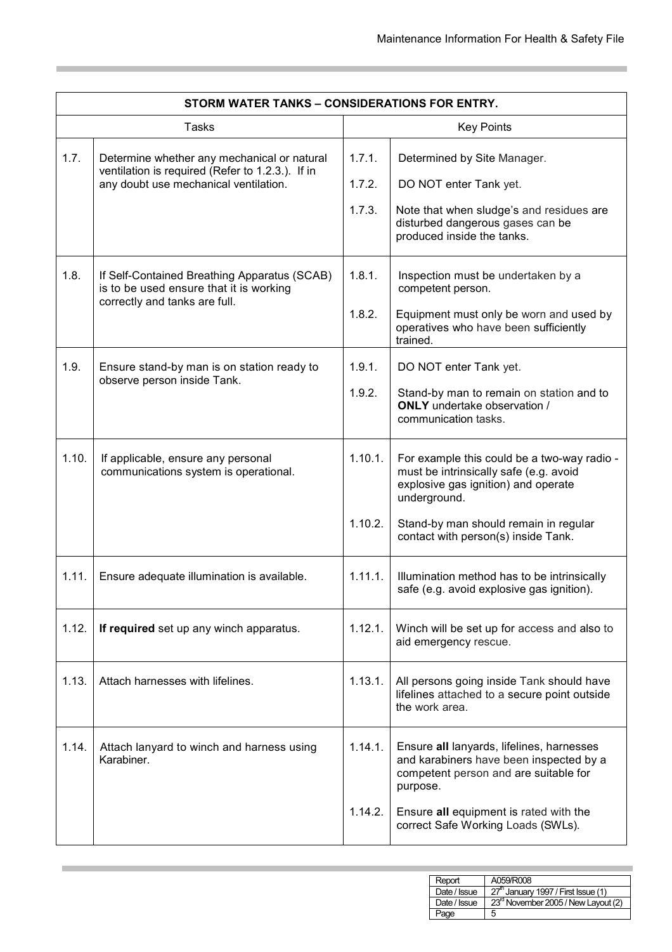| STORM WATER TANKS - CONSIDERATIONS FOR ENTRY. |                                                                                                                                          |                            |                                                                                                                                                                                                                              |
|-----------------------------------------------|------------------------------------------------------------------------------------------------------------------------------------------|----------------------------|------------------------------------------------------------------------------------------------------------------------------------------------------------------------------------------------------------------------------|
| <b>Tasks</b>                                  |                                                                                                                                          | <b>Key Points</b>          |                                                                                                                                                                                                                              |
| 1.7.                                          | Determine whether any mechanical or natural<br>ventilation is required (Refer to 1.2.3.). If in<br>any doubt use mechanical ventilation. | 1.7.1.<br>1.7.2.<br>1.7.3. | Determined by Site Manager.<br>DO NOT enter Tank yet.<br>Note that when sludge's and residues are<br>disturbed dangerous gases can be<br>produced inside the tanks.                                                          |
| 1.8.                                          | If Self-Contained Breathing Apparatus (SCAB)<br>is to be used ensure that it is working<br>correctly and tanks are full.                 | 1.8.1.<br>1.8.2.           | Inspection must be undertaken by a<br>competent person.<br>Equipment must only be worn and used by<br>operatives who have been sufficiently<br>trained.                                                                      |
| 1.9.                                          | Ensure stand-by man is on station ready to<br>observe person inside Tank.                                                                | 1.9.1.<br>1.9.2.           | DO NOT enter Tank yet.<br>Stand-by man to remain on station and to<br><b>ONLY</b> undertake observation /<br>communication tasks.                                                                                            |
| 1.10.                                         | If applicable, ensure any personal<br>communications system is operational.                                                              | 1.10.1.<br>1.10.2.         | For example this could be a two-way radio -<br>must be intrinsically safe (e.g. avoid<br>explosive gas ignition) and operate<br>underground.<br>Stand-by man should remain in regular<br>contact with person(s) inside Tank. |
| 1.11.                                         | Ensure adequate illumination is available.                                                                                               | 1.11.1.                    | Illumination method has to be intrinsically<br>safe (e.g. avoid explosive gas ignition).                                                                                                                                     |
| 1.12.                                         | If required set up any winch apparatus.                                                                                                  | 1.12.1.                    | Winch will be set up for access and also to<br>aid emergency rescue.                                                                                                                                                         |
| 1.13.                                         | Attach harnesses with lifelines.                                                                                                         | 1.13.1.                    | All persons going inside Tank should have<br>lifelines attached to a secure point outside<br>the work area.                                                                                                                  |
| 1.14.                                         | Attach lanyard to winch and harness using<br>Karabiner.                                                                                  | 1.14.1.<br>1.14.2.         | Ensure all lanyards, lifelines, harnesses<br>and karabiners have been inspected by a<br>competent person and are suitable for<br>purpose.<br>Ensure all equipment is rated with the<br>correct Safe Working Loads (SWLs).    |
|                                               |                                                                                                                                          |                            |                                                                                                                                                                                                                              |

**Service Control** 

| Report       | A059/R008                                       |
|--------------|-------------------------------------------------|
| Date / Issue | 27 <sup>th</sup> January 1997 / First Issue (1) |
| Date / Issue | 23rd November 2005 / New Layout (2)             |
| Page         | 5                                               |

**Service Control**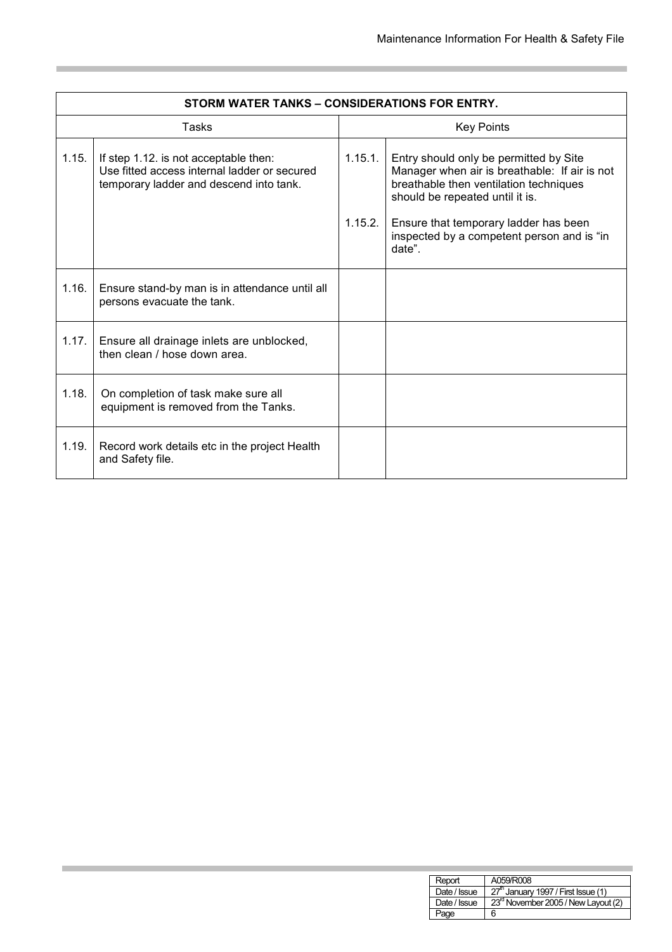| STORM WATER TANKS – CONSIDERATIONS FOR ENTRY. |                                                                                                                                  |                   |                                                                                                                                                                      |
|-----------------------------------------------|----------------------------------------------------------------------------------------------------------------------------------|-------------------|----------------------------------------------------------------------------------------------------------------------------------------------------------------------|
| Tasks                                         |                                                                                                                                  | <b>Key Points</b> |                                                                                                                                                                      |
| 1.15.                                         | If step 1.12. is not acceptable then:<br>Use fitted access internal ladder or secured<br>temporary ladder and descend into tank. | 1.15.1.           | Entry should only be permitted by Site<br>Manager when air is breathable: If air is not<br>breathable then ventilation techniques<br>should be repeated until it is. |
|                                               |                                                                                                                                  | 1.15.2.           | Ensure that temporary ladder has been<br>inspected by a competent person and is "in<br>date".                                                                        |
| 1.16.                                         | Ensure stand-by man is in attendance until all<br>persons evacuate the tank.                                                     |                   |                                                                                                                                                                      |
| 1.17.                                         | Ensure all drainage inlets are unblocked,<br>then clean / hose down area.                                                        |                   |                                                                                                                                                                      |
| 1.18.                                         | On completion of task make sure all<br>equipment is removed from the Tanks.                                                      |                   |                                                                                                                                                                      |
| 1.19.                                         | Record work details etc in the project Health<br>and Safety file.                                                                |                   |                                                                                                                                                                      |

**Service Control** 

| Report       | A059/R008                                  |
|--------------|--------------------------------------------|
| Date / Issue | $\sqrt{27}$ January 1997 / First Issue (1) |
| Date / Issue | 23rd November 2005 / New Layout (2)        |
| Page         | 6                                          |

**Service Control Control**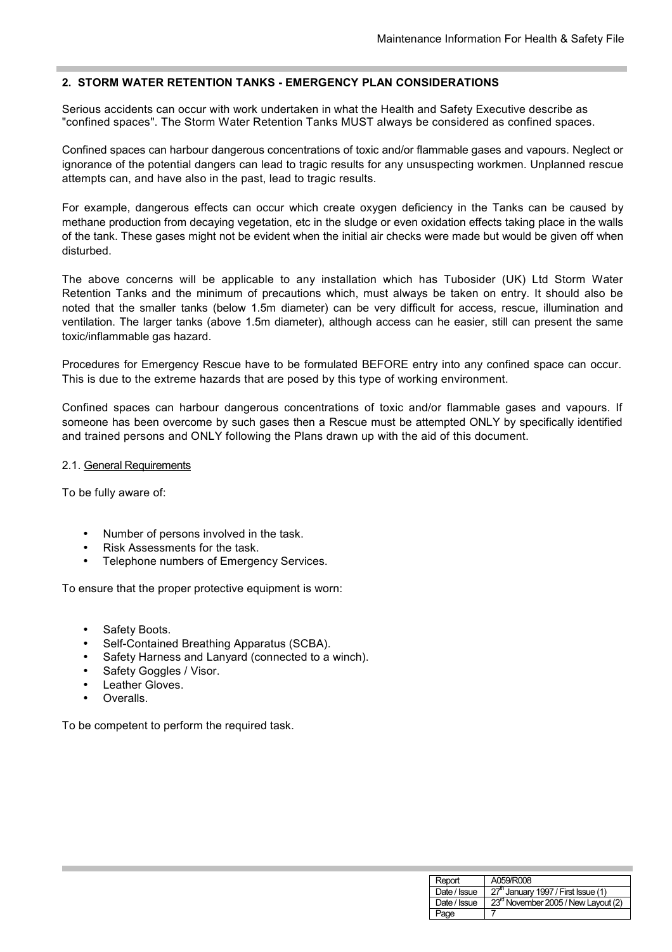## **2. STORM WATER RETENTION TANKS - EMERGENCY PLAN CONSIDERATIONS**

Serious accidents can occur with work undertaken in what the Health and Safety Executive describe as "confined spaces". The Storm Water Retention Tanks MUST always be considered as confined spaces.

Confined spaces can harbour dangerous concentrations of toxic and/or flammable gases and vapours. Neglect or ignorance of the potential dangers can lead to tragic results for any unsuspecting workmen. Unplanned rescue attempts can, and have also in the past, lead to tragic results.

For example, dangerous effects can occur which create oxygen deficiency in the Tanks can be caused by methane production from decaying vegetation, etc in the sludge or even oxidation effects taking place in the walls of the tank. These gases might not be evident when the initial air checks were made but would be given off when disturbed.

The above concerns will be applicable to any installation which has Tubosider (UK) Ltd Storm Water Retention Tanks and the minimum of precautions which, must always be taken on entry. It should also be noted that the smaller tanks (below 1.5m diameter) can be very difficult for access, rescue, illumination and ventilation. The larger tanks (above 1.5m diameter), although access can he easier, still can present the same toxic/inflammable gas hazard.

Procedures for Emergency Rescue have to be formulated BEFORE entry into any confined space can occur. This is due to the extreme hazards that are posed by this type of working environment.

Confined spaces can harbour dangerous concentrations of toxic and/or flammable gases and vapours. If someone has been overcome by such gases then a Rescue must be attempted ONLY by specifically identified and trained persons and ONLY following the Plans drawn up with the aid of this document.

#### 2.1. General Requirements

To be fully aware of:

- Number of persons involved in the task.
- Risk Assessments for the task.
- Telephone numbers of Emergency Services.

To ensure that the proper protective equipment is worn:

- Safety Boots.
- Self-Contained Breathing Apparatus (SCBA).
- Safety Harness and Lanyard (connected to a winch).
- Safety Goggles / Visor.
- **Leather Gloves.**
- Overalls.

To be competent to perform the required task.

| Report       | A059/R008                                       |
|--------------|-------------------------------------------------|
| Date / Issue | 27 <sup>th</sup> January 1997 / First Issue (1) |
| Date / Issue | 23 <sup>rd</sup> November 2005 / New Layout (2) |
| Page         |                                                 |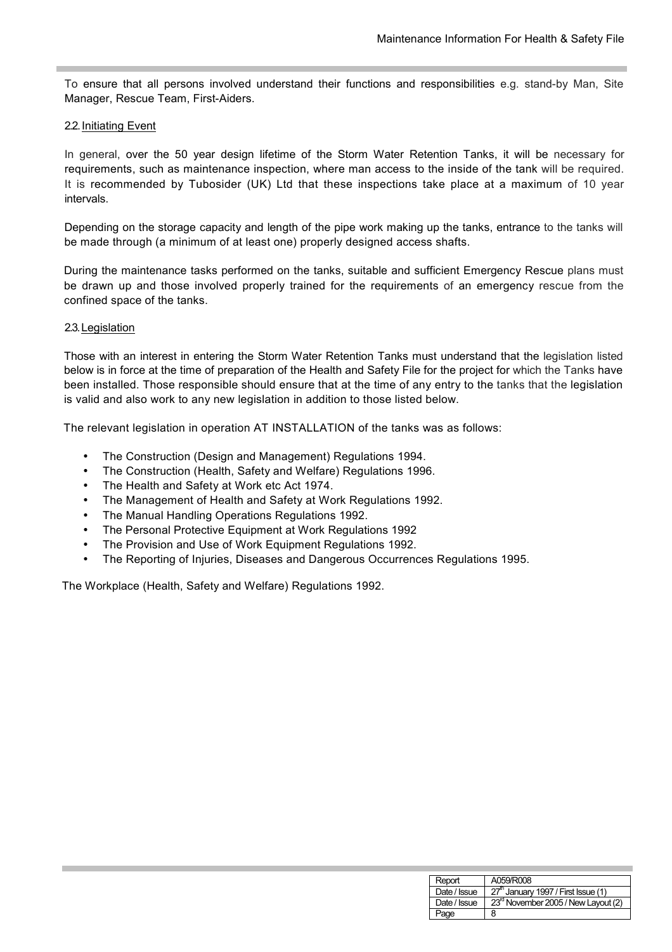To ensure that all persons involved understand their functions and responsibilities e.g. stand-by Man, Site Manager, Rescue Team, First-Aiders.

#### 2.2. Initiating Event

In general, over the 50 year design lifetime of the Storm Water Retention Tanks, it will be necessary for requirements, such as maintenance inspection, where man access to the inside of the tank will be required. It is recommended by Tubosider (UK) Ltd that these inspections take place at a maximum of 10 year intervals.

Depending on the storage capacity and length of the pipe work making up the tanks, entrance to the tanks will be made through (a minimum of at least one) properly designed access shafts.

During the maintenance tasks performed on the tanks, suitable and sufficient Emergency Rescue plans must be drawn up and those involved properly trained for the requirements of an emergency rescue from the confined space of the tanks.

#### 2.3. Legislation

Those with an interest in entering the Storm Water Retention Tanks must understand that the legislation listed below is in force at the time of preparation of the Health and Safety File for the project for which the Tanks have been installed. Those responsible should ensure that at the time of any entry to the tanks that the legislation is valid and also work to any new legislation in addition to those listed below.

The relevant legislation in operation AT INSTALLATION of the tanks was as follows:

- The Construction (Design and Management) Regulations 1994.
- The Construction (Health, Safety and Welfare) Regulations 1996.
- The Health and Safety at Work etc Act 1974.
- The Management of Health and Safety at Work Regulations 1992.
- The Manual Handling Operations Regulations 1992.
- The Personal Protective Equipment at Work Regulations 1992
- The Provision and Use of Work Equipment Regulations 1992.
- The Reporting of Injuries, Diseases and Dangerous Occurrences Regulations 1995.

The Workplace (Health, Safety and Welfare) Regulations 1992.

| Report       | A059/R008                                       |
|--------------|-------------------------------------------------|
| Date / Issue | 27 <sup>th</sup> January 1997 / First Issue (1) |
| Date / Issue | 23 <sup>rd</sup> November 2005 / New Layout (2) |
| Page         | 8                                               |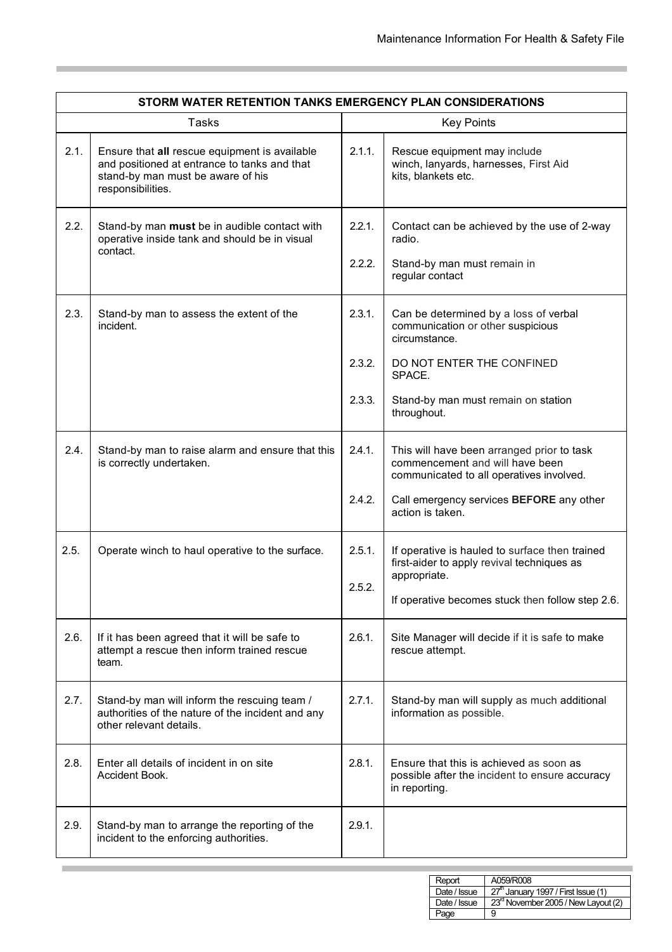| STORM WATER RETENTION TANKS EMERGENCY PLAN CONSIDERATIONS |                                                                                                                                                         |                  |                                                                                                                                    |  |
|-----------------------------------------------------------|---------------------------------------------------------------------------------------------------------------------------------------------------------|------------------|------------------------------------------------------------------------------------------------------------------------------------|--|
| <b>Tasks</b>                                              |                                                                                                                                                         |                  | <b>Key Points</b>                                                                                                                  |  |
| 2.1.                                                      | Ensure that all rescue equipment is available<br>and positioned at entrance to tanks and that<br>stand-by man must be aware of his<br>responsibilities. | 2.1.1.           | Rescue equipment may include<br>winch, lanyards, harnesses, First Aid<br>kits, blankets etc.                                       |  |
| 2.2.                                                      | Stand-by man must be in audible contact with<br>operative inside tank and should be in visual<br>contact.                                               | 2.2.1.<br>2.2.2. | Contact can be achieved by the use of 2-way<br>radio.<br>Stand-by man must remain in<br>regular contact                            |  |
| 2.3.                                                      | Stand-by man to assess the extent of the<br>incident.                                                                                                   | 2.3.1.<br>2.3.2. | Can be determined by a loss of verbal<br>communication or other suspicious<br>circumstance.<br>DO NOT ENTER THE CONFINED<br>SPACE. |  |
|                                                           |                                                                                                                                                         | 2.3.3.           | Stand-by man must remain on station<br>throughout.                                                                                 |  |
| 2.4.                                                      | Stand-by man to raise alarm and ensure that this<br>is correctly undertaken.                                                                            | 2.4.1.           | This will have been arranged prior to task<br>commencement and will have been<br>communicated to all operatives involved.          |  |
|                                                           |                                                                                                                                                         | 2.4.2.           | Call emergency services BEFORE any other<br>action is taken.                                                                       |  |
| 2.5.                                                      | Operate winch to haul operative to the surface.                                                                                                         | 2.5.1.<br>2.5.2. | If operative is hauled to surface then trained<br>first-aider to apply revival techniques as<br>appropriate.                       |  |
|                                                           |                                                                                                                                                         |                  | If operative becomes stuck then follow step 2.6.                                                                                   |  |
| 2.6.                                                      | If it has been agreed that it will be safe to<br>attempt a rescue then inform trained rescue<br>team.                                                   | 2.6.1.           | Site Manager will decide if it is safe to make<br>rescue attempt.                                                                  |  |
| 2.7.                                                      | Stand-by man will inform the rescuing team /<br>authorities of the nature of the incident and any<br>other relevant details.                            | 2.7.1.           | Stand-by man will supply as much additional<br>information as possible.                                                            |  |
| 2.8.                                                      | Enter all details of incident in on site<br>Accident Book.                                                                                              | 2.8.1.           | Ensure that this is achieved as soon as<br>possible after the incident to ensure accuracy<br>in reporting.                         |  |
| 2.9.                                                      | Stand-by man to arrange the reporting of the<br>incident to the enforcing authorities.                                                                  | 2.9.1.           |                                                                                                                                    |  |

| Report       | A059/R008                                       |
|--------------|-------------------------------------------------|
| Date / Issue | $\sqrt{27}$ January 1997 / First Issue (1)      |
| Date / Issue | 23 <sup>rd</sup> November 2005 / New Layout (2) |
| Page         | 9                                               |